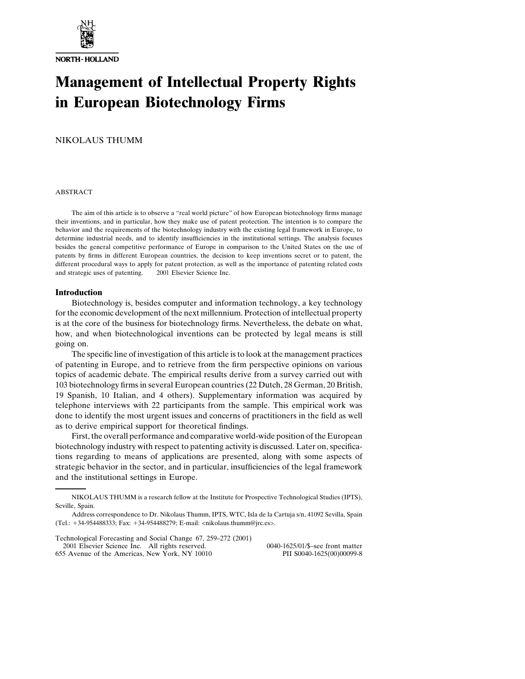

# **Management of Intellectual Property Rights in European Biotechnology Firms**

NIKOLAUS THUMM

#### ABSTRACT

The aim of this article is to observe a "real world picture" of how European biotechnology firms manage their inventions, and in particular, how they make use of patent protection. The intention is to compare the behavior and the requirements of the biotechnology industry with the existing legal framework in Europe, to determine industrial needs, and to identify insufficiencies in the institutional settings. The analysis focuses besides the general competitive performance of Europe in comparison to the United States on the use of patents by firms in different European countries, the decision to keep inventions secret or to patent, the different procedural ways to apply for patent protection, as well as the importance of patenting related costs and strategic uses of patenting.  $\circ$  2001 Elsevier Science Inc.

### **Introduction**

Biotechnology is, besides computer and information technology, a key technology for the economic development of the next millennium. Protection of intellectual property is at the core of the business for biotechnology firms. Nevertheless, the debate on what, how, and when biotechnological inventions can be protected by legal means is still going on.

The specific line of investigation of this article is to look at the management practices of patenting in Europe, and to retrieve from the firm perspective opinions on various topics of academic debate. The empirical results derive from a survey carried out with 103 biotechnology firms in several European countries (22 Dutch, 28 German, 20 British, 19 Spanish, 10 Italian, and 4 others). Supplementary information was acquired by telephone interviews with 22 participants from the sample. This empirical work was done to identify the most urgent issues and concerns of practitioners in the field as well as to derive empirical support for theoretical findings.

First, the overall performance and comparative world-wide position of the European biotechnology industry with respect to patenting activity is discussed. Later on, specifications regarding to means of applications are presented, along with some aspects of strategic behavior in the sector, and in particular, insufficiencies of the legal framework and the institutional settings in Europe.

Technological Forecasting and Social Change 67, 259–272 (2001) 2001 Elsevier Science Inc. All rights reserved. 0040-1625/01/\$–see front matter 655 Avenue of the Americas, New York, NY 10010

NIKOLAUS THUMM is a research fellow at the Institute for Prospective Technological Studies (IPTS), Seville, Spain.

Address correspondence to Dr. Nikolaus Thumm, IPTS, WTC, Isla de la Cartuja s/n, 41092 Sevilla, Spain (Tel.: 34-954488333; Fax: 34-954488279; E-mail: <nikolaus.thumm@jrc.es>.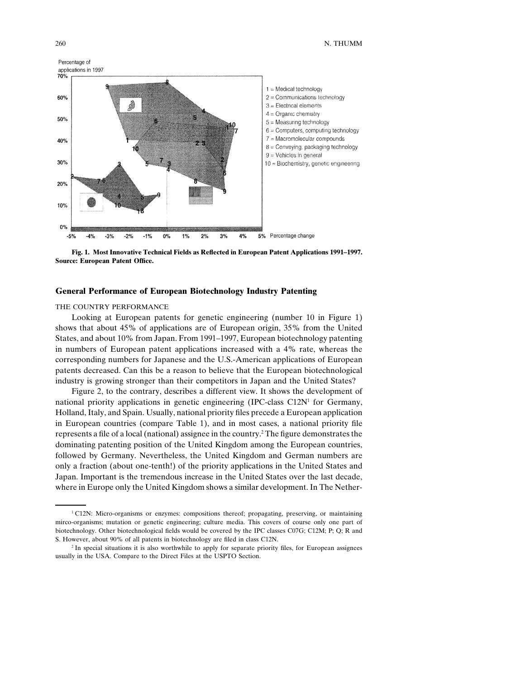

**Fig. 1. Most Innovative Technical Fields as Reflected in European Patent Applications 1991–1997. Source: European Patent Office.**

## **General Performance of European Biotechnology Industry Patenting**

#### THE COUNTRY PERFORMANCE

Looking at European patents for genetic engineering (number 10 in Figure 1) shows that about 45% of applications are of European origin, 35% from the United States, and about 10% from Japan. From 1991–1997, European biotechnology patenting in numbers of European patent applications increased with a 4% rate, whereas the corresponding numbers for Japanese and the U.S.-American applications of European patents decreased. Can this be a reason to believe that the European biotechnological industry is growing stronger than their competitors in Japan and the United States?

Figure 2, to the contrary, describes a different view. It shows the development of national priority applications in genetic engineering (IPC-class  $C12N<sup>1</sup>$  for Germany, Holland, Italy, and Spain. Usually, national priority files precede a European application in European countries (compare Table 1), and in most cases, a national priority file represents a file of a local (national) assignee in the country.2 The figure demonstrates the dominating patenting position of the United Kingdom among the European countries, followed by Germany. Nevertheless, the United Kingdom and German numbers are only a fraction (about one-tenth!) of the priority applications in the United States and Japan. Important is the tremendous increase in the United States over the last decade, where in Europe only the United Kingdom shows a similar development. In The Nether-

<sup>1</sup> C12N: Micro-organisms or enzymes: compositions thereof; propagating, preserving, or maintaining mirco-organisms; mutation or genetic engineering; culture media. This covers of course only one part of biotechnology. Other biotechnological fields would be covered by the IPC classes C07G; C12M; P; Q; R and S. However, about 90% of all patents in biotechnology are filed in class C12N.

<sup>&</sup>lt;sup>2</sup> In special situations it is also worthwhile to apply for separate priority files, for European assignees usually in the USA. Compare to the Direct Files at the USPTO Section.